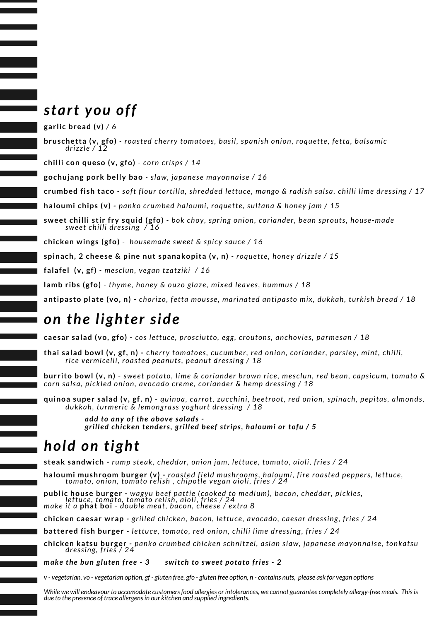### *start you off*

**garlic bread (v)** */ 6*

**bruschetta (v, gfo)** *- roasted cherry tomatoes, basil, spanish onion, roquette, fetta, balsamic drizzle / 12*

**chilli con queso (v, gfo)** *- corn crisps / 14*

**gochujang pork belly bao** *- slaw, japanese mayonnaise / 16*

crumbed fish taco - soft flour tortilla, shredded lettuce, mango & radish salsa, chilli lime dressing / 17

**haloumi chips (v)** *- panko crumbed haloumi, roquette, sultana & honey jam / 15*

**sweet chilli stir fry squid (gfo)** *- bok choy, spring onion, coriander, bean sprouts, house-made sweet chilli dressing / 16*

**chicken wings (gfo)** *- housemade sweet & spicy sauce / 16*

**spinach, 2 cheese & pine nut spanakopita (v, n)** *- roquette, honey drizzle / 15*

**falafel (v, gf)** *- mesclun, vegan tzatziki / 16*

**lamb ribs (gfo)** *- thyme, honey & ouzo glaze, mixed leaves, hummus / 18*

**antipasto plate (vo, n) -** *chorizo, fetta mousse, marinated antipasto mix, dukkah, turkish bread / 18*

#### *on the lighter side*

**caesar salad (vo, gfo)** - *cos lettuce, prosciutto, egg, croutons, anchovies, parmesan / 18*

**thai salad bowl (v, gf, n) -** c*herry tomatoes, cucumber, red onion, coriander, parsley, mint, chilli, rice vermicelli, roasted peanuts, peanut dressing / 18*

**burrito bowl (v, n)** - *sweet potato, lime & coriander brown rice, mesclun, red bean, capsicum, tomato & corn salsa, pickled onion, avocado creme, coriander & hemp dressing / 18*

**quinoa super salad (v, gf, n)** - *quinoa, carrot, zucchini, beetroot, red onion, spinach, pepitas, almonds, dukkah, turmeric & lemongrass yoghurt dressing / 18*

> *add to any of the above salads grilled chicken tenders, grilled beef strips, haloumi or tofu / 5*

## *hold on tight*

**steak sandwich** *- rump steak, cheddar, onion jam, lettuce, tomato, aioli, fries / 24*

**haloumi mushroom burger (v)** *- roasted field mushrooms, haloumi, fire roasted peppers, lettuce, tomato, onion, tomato relish , chipotle vegan aioli, fries / 24*

**public house burger** *- wagyu beef pattie (cooked to medium), bacon, cheddar, pickles, lettuce, tomato, tomato relish, aioli, fries / 24 make it a* **phat boi** *- double meat, bacon, cheese / extra 8*

**chicken caesar wrap** *- grilled chicken, bacon, lettuce, avocado, caesar dressing, fries / 24*

**battered fish burger** *- lettuce, tomato, red onion, chilli lime dressing, fries / 24*

**chicken katsu burger** *- panko crumbed chicken schnitzel, asian slaw, japanese mayonnaise, tonkatsu dressing, fries / 24*

*make the bun gluten free - 3 switch to sweet potato fries - 2*

v - vegetarian, vo - vegetarian option, gf - gluten free, gfo - gluten free option, n - contains nuts, please ask for vegan options

While we will endeavour to accomodate customers food allergies or intolerances, we cannot guarantee completely allergy-free meals. This is *due to the presence of trace allergensin our kitchen and supplied ingredients.*